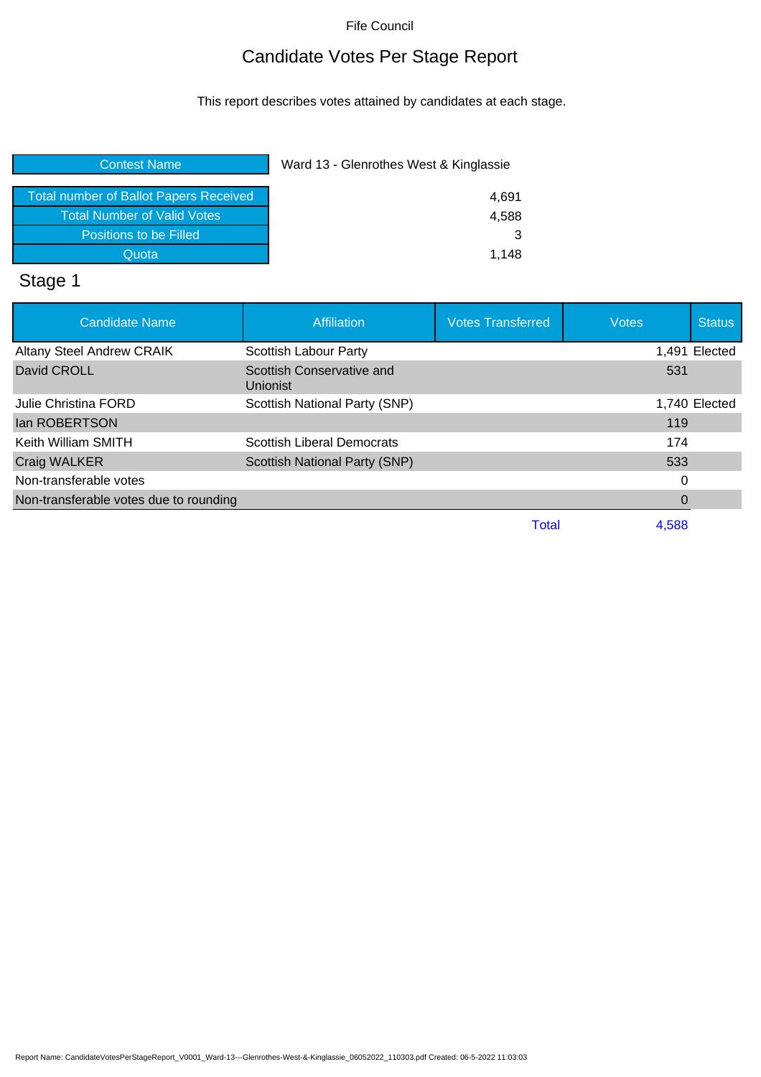## Candidate Votes Per Stage Report

This report describes votes attained by candidates at each stage.

| <b>Contest Name</b>                           | Ward 13 - Glenrothes West & Kinglassie |
|-----------------------------------------------|----------------------------------------|
| <b>Total number of Ballot Papers Received</b> | 4,691                                  |
| <b>Total Number of Valid Votes</b>            | 4,588                                  |
| Positions to be Filled                        | 3                                      |
| Quota                                         | 1.148                                  |

# Stage 1

| <b>Candidate Name</b>                  | <b>Affiliation</b>                    | <b>Votes Transferred</b> | <b>Votes</b> | <b>Status</b> |
|----------------------------------------|---------------------------------------|--------------------------|--------------|---------------|
| <b>Altany Steel Andrew CRAIK</b>       | <b>Scottish Labour Party</b>          |                          |              | 1,491 Elected |
| David CROLL                            | Scottish Conservative and<br>Unionist |                          | 531          |               |
| Julie Christina FORD                   | Scottish National Party (SNP)         |                          |              | 1,740 Elected |
| lan ROBERTSON                          |                                       |                          | 119          |               |
| Keith William SMITH                    | Scottish Liberal Democrats            |                          | 174          |               |
| Craig WALKER                           | <b>Scottish National Party (SNP)</b>  |                          | 533          |               |
| Non-transferable votes                 |                                       |                          | 0            |               |
| Non-transferable votes due to rounding |                                       |                          | 0            |               |
|                                        |                                       | Total                    | 4,588        |               |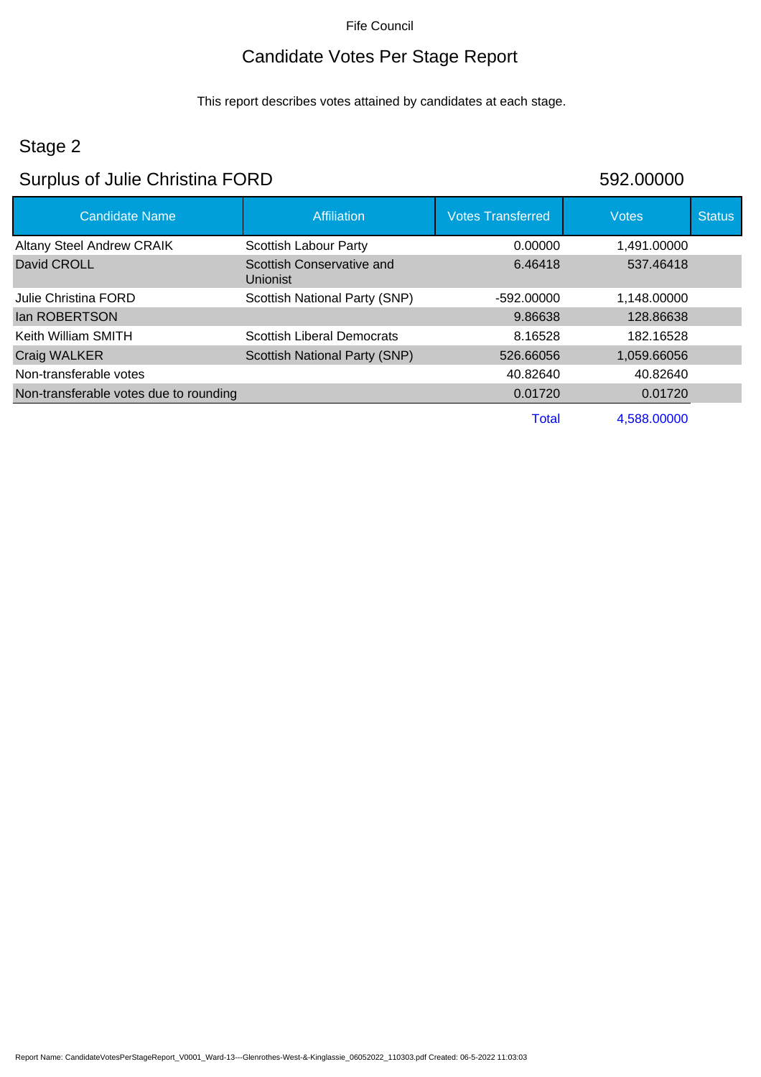## Candidate Votes Per Stage Report

This report describes votes attained by candidates at each stage.

## Stage 2

#### Surplus of Julie Christina FORD 592.00000

| <b>Candidate Name</b>                  | Affiliation                           | <b>Votes Transferred</b> | <b>Votes</b> | <b>Status</b> |
|----------------------------------------|---------------------------------------|--------------------------|--------------|---------------|
| <b>Altany Steel Andrew CRAIK</b>       | Scottish Labour Party                 | 0.00000                  | 1.491.00000  |               |
| David CROLL                            | Scottish Conservative and<br>Unionist | 6.46418                  | 537.46418    |               |
| Julie Christina FORD                   | Scottish National Party (SNP)         | $-592.00000$             | 1.148.00000  |               |
| <b>Ian ROBERTSON</b>                   |                                       | 9.86638                  | 128.86638    |               |
| Keith William SMITH                    | <b>Scottish Liberal Democrats</b>     | 8.16528                  | 182.16528    |               |
| <b>Craig WALKER</b>                    | <b>Scottish National Party (SNP)</b>  | 526.66056                | 1,059.66056  |               |
| Non-transferable votes                 |                                       | 40.82640                 | 40.82640     |               |
| Non-transferable votes due to rounding |                                       | 0.01720                  | 0.01720      |               |
|                                        |                                       | Total                    | 4.588.00000  |               |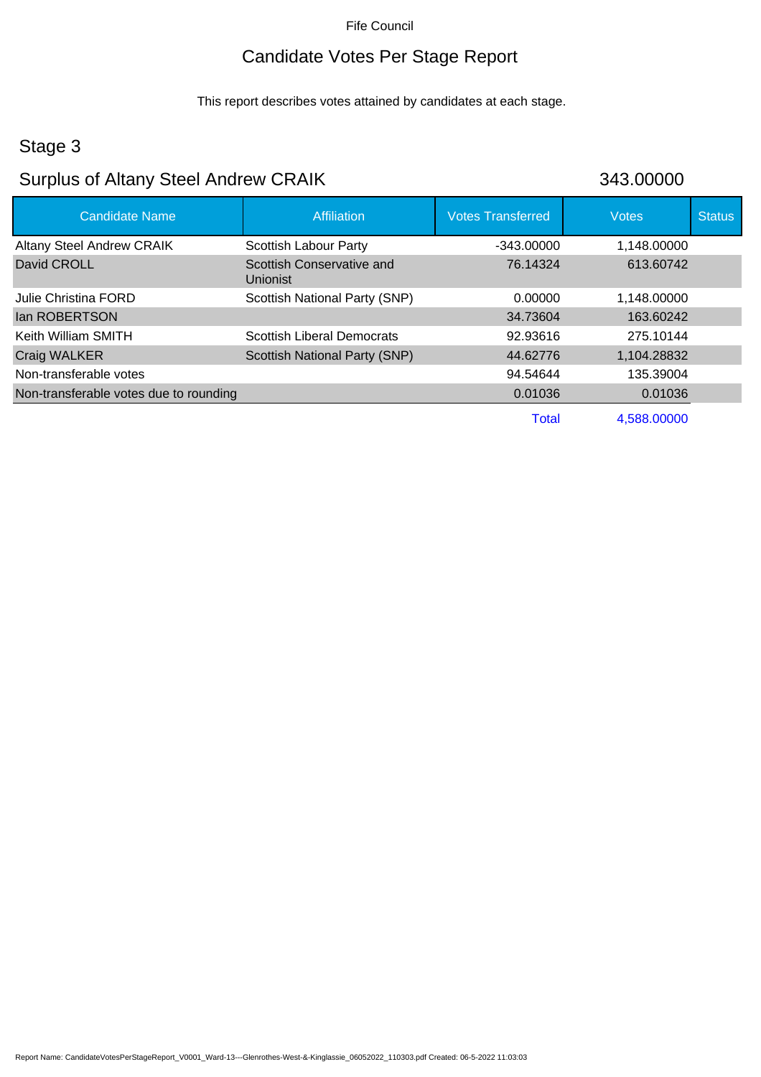## Candidate Votes Per Stage Report

This report describes votes attained by candidates at each stage.

## Stage 3

## Surplus of Altany Steel Andrew CRAIK

| 343.00000 |  |  |
|-----------|--|--|
|           |  |  |

| <b>Candidate Name</b>                  | <b>Affiliation</b>                    | <b>Votes Transferred</b> | <b>Votes</b> | <b>Status</b> |
|----------------------------------------|---------------------------------------|--------------------------|--------------|---------------|
| <b>Altany Steel Andrew CRAIK</b>       | <b>Scottish Labour Party</b>          | $-343.00000$             | 1,148.00000  |               |
| David CROLL                            | Scottish Conservative and<br>Unionist | 76.14324                 | 613.60742    |               |
| Julie Christina FORD                   | Scottish National Party (SNP)         | 0.00000                  | 1,148.00000  |               |
| lan ROBERTSON                          |                                       | 34.73604                 | 163.60242    |               |
| Keith William SMITH                    | <b>Scottish Liberal Democrats</b>     | 92.93616                 | 275.10144    |               |
| Craig WALKER                           | Scottish National Party (SNP)         | 44.62776                 | 1,104.28832  |               |
| Non-transferable votes                 |                                       | 94.54644                 | 135.39004    |               |
| Non-transferable votes due to rounding |                                       | 0.01036                  | 0.01036      |               |
|                                        |                                       | <b>Total</b>             | 4.588.00000  |               |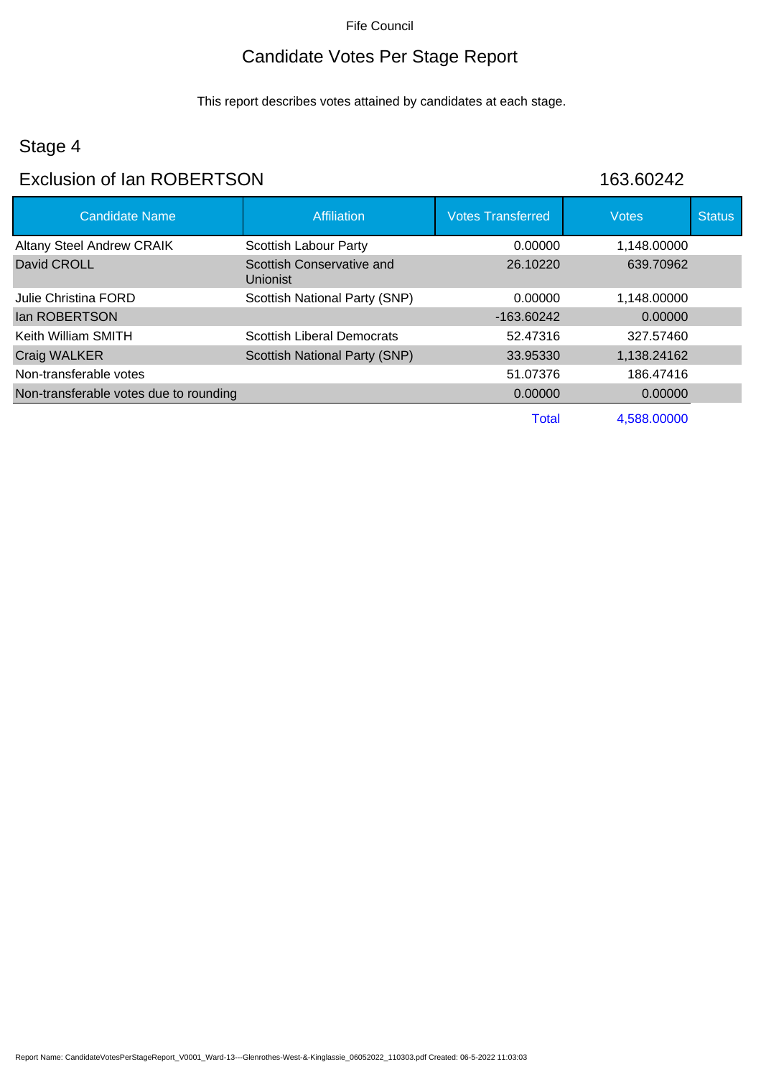## Candidate Votes Per Stage Report

This report describes votes attained by candidates at each stage.

## Stage 4

#### Exclusion of Ian ROBERTSON 163.60242

| <b>Candidate Name</b>                  | <b>Affiliation</b>                    | <b>Votes Transferred</b> | <b>Votes</b> | <b>Status</b> |
|----------------------------------------|---------------------------------------|--------------------------|--------------|---------------|
| <b>Altany Steel Andrew CRAIK</b>       | Scottish Labour Party                 | 0.00000                  | 1,148.00000  |               |
| David CROLL                            | Scottish Conservative and<br>Unionist | 26.10220                 | 639.70962    |               |
| Julie Christina FORD                   | Scottish National Party (SNP)         | 0.00000                  | 1,148.00000  |               |
| lan ROBERTSON                          |                                       | $-163.60242$             | 0.00000      |               |
| Keith William SMITH                    | <b>Scottish Liberal Democrats</b>     | 52.47316                 | 327.57460    |               |
| Craig WALKER                           | Scottish National Party (SNP)         | 33.95330                 | 1,138.24162  |               |
| Non-transferable votes                 |                                       | 51.07376                 | 186.47416    |               |
| Non-transferable votes due to rounding |                                       | 0.00000                  | 0.00000      |               |
|                                        |                                       | <b>Total</b>             | 4,588.00000  |               |